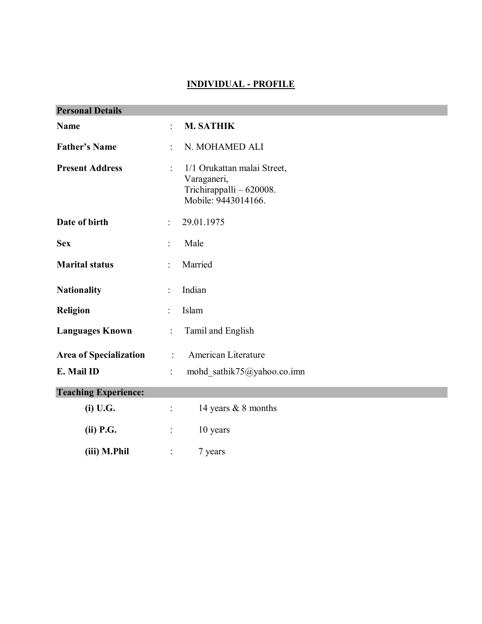# **INDIVIDUAL - PROFILE**

| <b>Personal Details</b>                                   |                                     |                                                                                               |  |
|-----------------------------------------------------------|-------------------------------------|-----------------------------------------------------------------------------------------------|--|
| <b>Name</b>                                               | ÷.                                  | <b>M. SATHIK</b>                                                                              |  |
| <b>Father's Name</b>                                      |                                     | N. MOHAMED ALI                                                                                |  |
| <b>Present Address</b>                                    |                                     | 1/1 Orukattan malai Street,<br>Varaganeri,<br>Trichirappalli - 620008.<br>Mobile: 9443014166. |  |
| Date of birth                                             | 29.01.1975                          |                                                                                               |  |
| <b>Sex</b>                                                |                                     | Male                                                                                          |  |
| <b>Marital status</b>                                     |                                     | Married                                                                                       |  |
| <b>Nationality</b><br>$\ddot{\cdot}$                      |                                     | Indian                                                                                        |  |
| <b>Religion</b>                                           | Islam                               |                                                                                               |  |
| <b>Languages Known</b>                                    | Tamil and English<br>$\ddot{\cdot}$ |                                                                                               |  |
| American Literature<br><b>Area of Specialization</b><br>÷ |                                     |                                                                                               |  |
| E. Mail ID                                                |                                     | mohd sathik75@yahoo.co.imn                                                                    |  |
| <b>Teaching Experience:</b>                               |                                     |                                                                                               |  |
| (i) U.G.                                                  | $\ddot{\cdot}$                      | 14 years & 8 months                                                                           |  |
| (ii) P.G.                                                 |                                     | 10 years                                                                                      |  |
| (iii) M.Phil                                              |                                     | 7 years                                                                                       |  |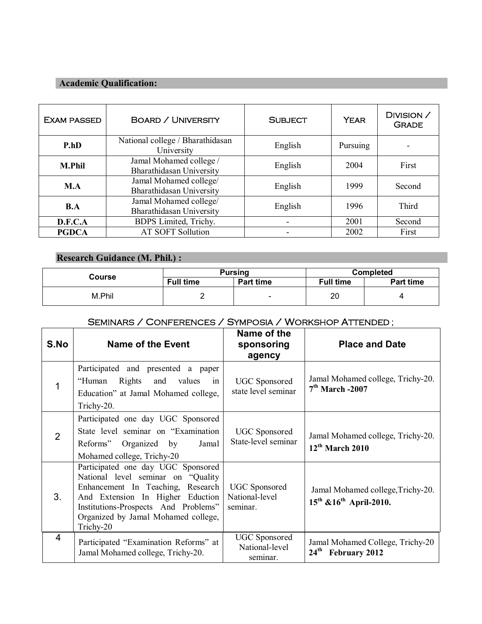### **Academic Qualification:**

| <b>EXAM PASSED</b> | <b>BOARD / UNIVERSITY</b>                           | <b>SUBJECT</b> | <b>YEAR</b> | DIVISION /<br><b>GRADE</b> |
|--------------------|-----------------------------------------------------|----------------|-------------|----------------------------|
| P.hD               | National college / Bharathidasan<br>University      | English        | Pursuing    |                            |
| <b>M.Phil</b>      | Jamal Mohamed college /<br>Bharathidasan University | English        | 2004        | First                      |
| M.A                | Jamal Mohamed college/<br>Bharathidasan University  | English        | 1999        | Second                     |
| B.A                | Jamal Mohamed college/<br>Bharathidasan University  | English        | 1996        | Third                      |
| D.F.C.A            | BDPS Limited, Trichy.                               | ۰              | 2001        | Second                     |
| <b>PGDCA</b>       | <b>AT SOFT Sollution</b>                            | ۰              | 2002        | First                      |

# **Research Guidance (M. Phil.) :**

| Course | <b>Pursing</b>   |                          | <b>Completed</b> |           |
|--------|------------------|--------------------------|------------------|-----------|
|        | <b>Full time</b> | <b>Part time</b>         | <b>Full time</b> | Part time |
| M.Phil | -                | $\overline{\phantom{0}}$ | 20               |           |

## SEMINARS / CONFERENCES / SYMPOSIA / WORKSHOP ATTENDED ;

| S.No           | Name of the Event                                                                                                                                                                                                                              | Name of the<br>sponsoring<br>agency                | <b>Place and Date</b>                                                  |
|----------------|------------------------------------------------------------------------------------------------------------------------------------------------------------------------------------------------------------------------------------------------|----------------------------------------------------|------------------------------------------------------------------------|
| $\mathbf 1$    | Participated and presented a paper<br>Rights<br>"Human<br>and<br>values<br>1n<br>Education" at Jamal Mohamed college,<br>Trichy-20.                                                                                                            | <b>UGC</b> Sponsored<br>state level seminar        | Jamal Mohamed college, Trichy-20.<br>$7th$ March -2007                 |
| 2              | Participated one day UGC Sponsored<br>State level seminar on "Examination"<br>Reforms" Organized by<br>Jamal<br>Mohamed college, Trichy-20                                                                                                     | <b>UGC</b> Sponsored<br>State-level seminar        | Jamal Mohamed college, Trichy-20.<br>$12th$ March 2010                 |
| 3.             | Participated one day UGC Sponsored<br>National level seminar on "Quality"<br>Enhancement In Teaching, Research<br>And Extension In Higher Eduction<br>Institutions-Prospects And Problems"<br>Organized by Jamal Mohamed college,<br>Trichy-20 | <b>UGC</b> Sponsored<br>National-level<br>seminar. | Jamal Mohamed college, Trichy-20.<br>$15^{th}$ & $16^{th}$ April-2010. |
| $\overline{4}$ | Participated "Examination Reforms" at<br>Jamal Mohamed college, Trichy-20.                                                                                                                                                                     | <b>UGC</b> Sponsored<br>National-level<br>seminar. | Jamal Mohamed College, Trichy-20<br>24 <sup>th</sup> February 2012     |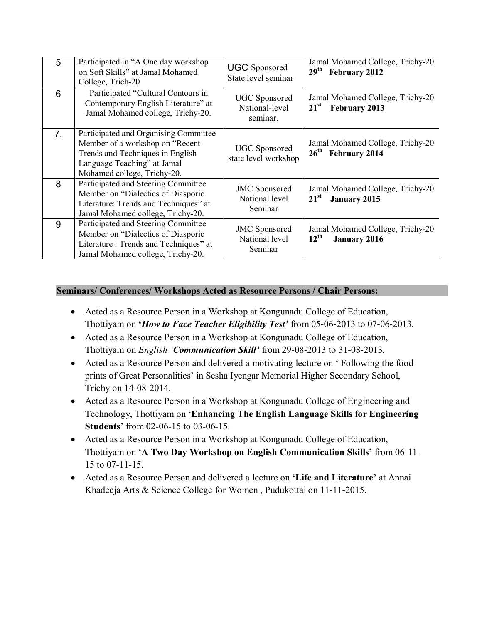| 5              | Participated in "A One day workshop<br>on Soft Skills" at Jamal Mohamed<br>College, Trich-20                                                                               | <b>UGC</b> Sponsored<br>State level seminar        | Jamal Mohamed College, Trichy-20<br>29 <sup>th</sup><br>February 2012    |
|----------------|----------------------------------------------------------------------------------------------------------------------------------------------------------------------------|----------------------------------------------------|--------------------------------------------------------------------------|
| 6              | Participated "Cultural Contours in<br>Contemporary English Literature" at<br>Jamal Mohamed college, Trichy-20.                                                             | <b>UGC</b> Sponsored<br>National-level<br>seminar. | Jamal Mohamed College, Trichy-20<br>$21^{\rm st}$<br>February 2013       |
| 7 <sub>1</sub> | Participated and Organising Committee<br>Member of a workshop on "Recent<br>Trends and Techniques in English<br>Language Teaching" at Jamal<br>Mohamed college, Trichy-20. | <b>UGC</b> Sponsored<br>state level workshop       | Jamal Mohamed College, Trichy-20<br>26 <sup>th</sup> February 2014       |
| 8              | Participated and Steering Committee<br>Member on "Dialectics of Diasporic<br>Literature: Trends and Techniques" at<br>Jamal Mohamed college, Trichy-20.                    | <b>JMC</b> Sponsored<br>National level<br>Seminar  | Jamal Mohamed College, Trichy-20<br>$21^{\rm st}$<br><b>January 2015</b> |
| 9              | Participated and Steering Committee<br>Member on "Dialectics of Diasporic<br>Literature: Trends and Techniques" at<br>Jamal Mohamed college, Trichy-20.                    | <b>JMC</b> Sponsored<br>National level<br>Seminar  | Jamal Mohamed College, Trichy-20<br>$12^{th}$<br><b>January 2016</b>     |

### **Seminars/ Conferences/ Workshops Acted as Resource Persons / Chair Persons:**

- Acted as a Resource Person in a Workshop at Kongunadu College of Education, Thottiyam on **'***How to Face Teacher Eligibility Test'* from 05-06-2013 to 07-06-2013.
- Acted as a Resource Person in a Workshop at Kongunadu College of Education, Thottiyam on *English 'Communication Skill'* from 29-08-2013 to 31-08-2013.
- Acted as a Resource Person and delivered a motivating lecture on ' Following the food prints of Great Personalities' in Sesha Iyengar Memorial Higher Secondary School, Trichy on 14-08-2014.
- Acted as a Resource Person in a Workshop at Kongunadu College of Engineering and Technology, Thottiyam on '**Enhancing The English Language Skills for Engineering Students**' from 02-06-15 to 03-06-15.
- Acted as a Resource Person in a Workshop at Kongunadu College of Education, Thottiyam on '**A Two Day Workshop on English Communication Skills'** from 06-11- 15 to 07-11-15.
- Acted as a Resource Person and delivered a lecture on **'Life and Literature'** at Annai Khadeeja Arts & Science College for Women , Pudukottai on 11-11-2015.